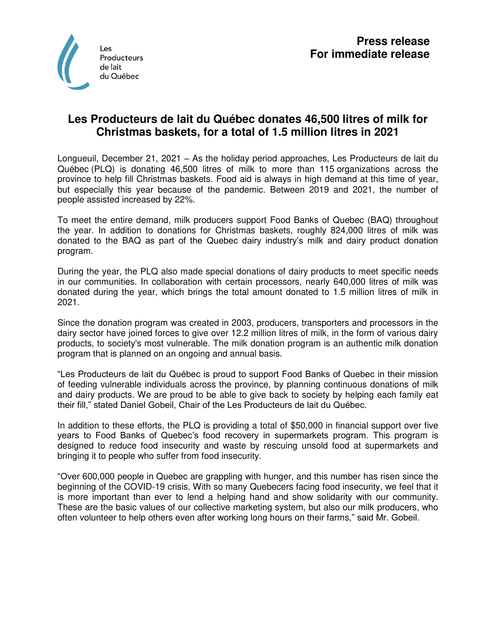

## **Les Producteurs de lait du Québec donates 46,500 litres of milk for Christmas baskets, for a total of 1.5 million litres in 2021**

Longueuil, December 21, 2021 – As the holiday period approaches, Les Producteurs de lait du Québec (PLQ) is donating 46,500 litres of milk to more than 115 organizations across the province to help fill Christmas baskets. Food aid is always in high demand at this time of year, but especially this year because of the pandemic. Between 2019 and 2021, the number of people assisted increased by 22%.

To meet the entire demand, milk producers support Food Banks of Quebec (BAQ) throughout the year. In addition to donations for Christmas baskets, roughly 824,000 litres of milk was donated to the BAQ as part of the Quebec dairy industry's milk and dairy product donation program.

During the year, the PLQ also made special donations of dairy products to meet specific needs in our communities. In collaboration with certain processors, nearly 640,000 litres of milk was donated during the year, which brings the total amount donated to 1.5 million litres of milk in 2021.

Since the donation program was created in 2003, producers, transporters and processors in the dairy sector have joined forces to give over 12.2 million litres of milk, in the form of various dairy products, to society's most vulnerable. The milk donation program is an authentic milk donation program that is planned on an ongoing and annual basis.

"Les Producteurs de lait du Québec is proud to support Food Banks of Quebec in their mission of feeding vulnerable individuals across the province, by planning continuous donations of milk and dairy products. We are proud to be able to give back to society by helping each family eat their fill," stated Daniel Gobeil, Chair of the Les Producteurs de lait du Québec.

In addition to these efforts, the PLQ is providing a total of \$50,000 in financial support over five years to Food Banks of Quebec's food recovery in supermarkets program. This program is designed to reduce food insecurity and waste by rescuing unsold food at supermarkets and bringing it to people who suffer from food insecurity.

"Over 600,000 people in Quebec are grappling with hunger, and this number has risen since the beginning of the COVID-19 crisis. With so many Quebecers facing food insecurity, we feel that it is more important than ever to lend a helping hand and show solidarity with our community. These are the basic values of our collective marketing system, but also our milk producers, who often volunteer to help others even after working long hours on their farms," said Mr. Gobeil.